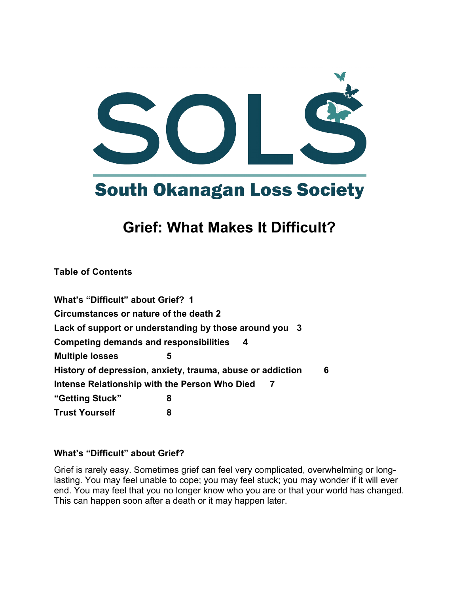

# **Grief: What Makes It Difficult?**

**Table of Contents**

**What's "Difficult" about Grief? 1 Circumstances or nature of the death 2 Lack of support or understanding by those around you 3 Competing demands and responsibilities 4 Multiple losses 5 History of depression, anxiety, trauma, abuse or addiction 6 Intense Relationship with the Person Who Died 7 "Getting Stuck" 8 Trust Yourself 8**

### **What's "Difficult" about Grief?**

Grief is rarely easy. Sometimes grief can feel very complicated, overwhelming or longlasting. You may feel unable to cope; you may feel stuck; you may wonder if it will ever end. You may feel that you no longer know who you are or that your world has changed. This can happen soon after a death or it may happen later.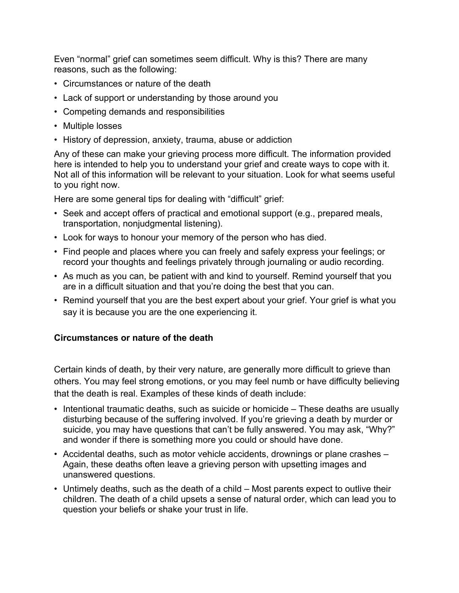Even "normal" grief can sometimes seem difficult. Why is this? There are many reasons, such as the following:

- Circumstances or nature of the death
- Lack of support or understanding by those around you
- Competing demands and responsibilities
- Multiple losses
- History of depression, anxiety, trauma, abuse or addiction

Any of these can make your grieving process more difficult. The information provided here is intended to help you to understand your grief and create ways to cope with it. Not all of this information will be relevant to your situation. Look for what seems useful to you right now.

Here are some general tips for dealing with "difficult" grief:

- Seek and accept offers of practical and emotional support (e.g., prepared meals, transportation, nonjudgmental listening).
- Look for ways to honour your memory of the person who has died.
- Find people and places where you can freely and safely express your feelings; or record your thoughts and feelings privately through journaling or audio recording.
- As much as you can, be patient with and kind to yourself. Remind yourself that you are in a difficult situation and that you're doing the best that you can.
- Remind yourself that you are the best expert about your grief. Your grief is what you say it is because you are the one experiencing it.

### **Circumstances or nature of the death**

Certain kinds of death, by their very nature, are generally more difficult to grieve than others. You may feel strong emotions, or you may feel numb or have difficulty believing that the death is real. Examples of these kinds of death include:

- Intentional traumatic deaths, such as suicide or homicide These deaths are usually disturbing because of the suffering involved. If you're grieving a death by murder or suicide, you may have questions that can't be fully answered. You may ask, "Why?" and wonder if there is something more you could or should have done.
- Accidental deaths, such as motor vehicle accidents, drownings or plane crashes Again, these deaths often leave a grieving person with upsetting images and unanswered questions.
- Untimely deaths, such as the death of a child Most parents expect to outlive their children. The death of a child upsets a sense of natural order, which can lead you to question your beliefs or shake your trust in life.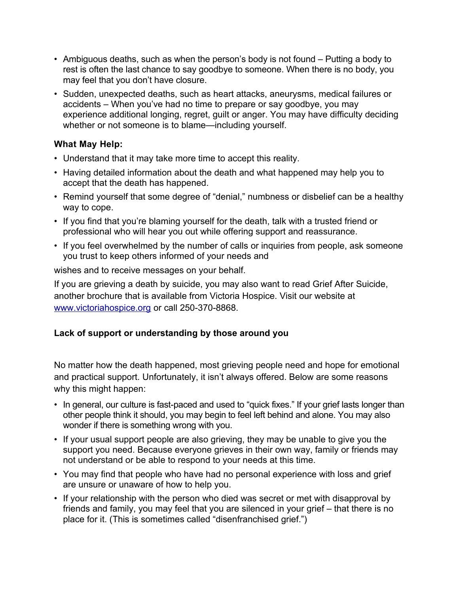- Ambiguous deaths, such as when the person's body is not found Putting a body to rest is often the last chance to say goodbye to someone. When there is no body, you may feel that you don't have closure.
- Sudden, unexpected deaths, such as heart attacks, aneurysms, medical failures or accidents – When you've had no time to prepare or say goodbye, you may experience additional longing, regret, guilt or anger. You may have difficulty deciding whether or not someone is to blame—including yourself.

#### **What May Help:**

- Understand that it may take more time to accept this reality.
- Having detailed information about the death and what happened may help you to accept that the death has happened.
- Remind yourself that some degree of "denial," numbness or disbelief can be a healthy way to cope.
- If you find that you're blaming yourself for the death, talk with a trusted friend or professional who will hear you out while offering support and reassurance.
- If you feel overwhelmed by the number of calls or inquiries from people, ask someone you trust to keep others informed of your needs and

wishes and to receive messages on your behalf.

If you are grieving a death by suicide, you may also want to read Grief After Suicide, another brochure that is available from Victoria Hospice. Visit our website at [www.victoriahospice.org](http://www.victoriahospice.org/) or call 250-370-8868.

### **Lack of support or understanding by those around you**

No matter how the death happened, most grieving people need and hope for emotional and practical support. Unfortunately, it isn't always offered. Below are some reasons why this might happen:

- In general, our culture is fast-paced and used to "quick fixes." If your grief lasts longer than other people think it should, you may begin to feel left behind and alone. You may also wonder if there is something wrong with you.
- If your usual support people are also grieving, they may be unable to give you the support you need. Because everyone grieves in their own way, family or friends may not understand or be able to respond to your needs at this time.
- You may find that people who have had no personal experience with loss and grief are unsure or unaware of how to help you.
- If your relationship with the person who died was secret or met with disapproval by friends and family, you may feel that you are silenced in your grief – that there is no place for it. (This is sometimes called "disenfranchised grief.")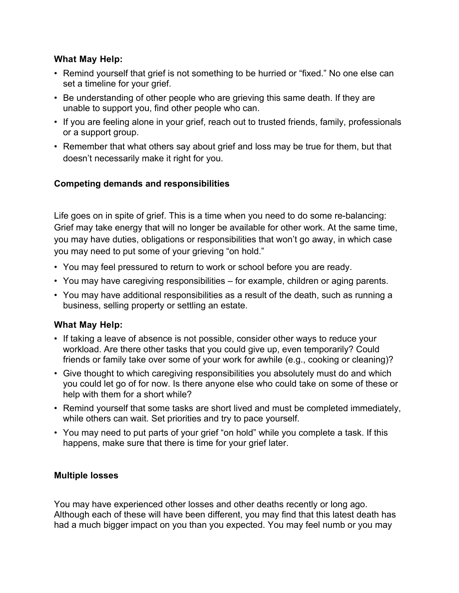#### **What May Help:**

- Remind yourself that grief is not something to be hurried or "fixed." No one else can set a timeline for your grief.
- Be understanding of other people who are grieving this same death. If they are unable to support you, find other people who can.
- If you are feeling alone in your grief, reach out to trusted friends, family, professionals or a support group.
- Remember that what others say about grief and loss may be true for them, but that doesn't necessarily make it right for you.

#### **Competing demands and responsibilities**

Life goes on in spite of grief. This is a time when you need to do some re-balancing: Grief may take energy that will no longer be available for other work. At the same time, you may have duties, obligations or responsibilities that won't go away, in which case you may need to put some of your grieving "on hold."

- You may feel pressured to return to work or school before you are ready.
- You may have caregiving responsibilities for example, children or aging parents.
- You may have additional responsibilities as a result of the death, such as running a business, selling property or settling an estate.

#### **What May Help:**

- If taking a leave of absence is not possible, consider other ways to reduce your workload. Are there other tasks that you could give up, even temporarily? Could friends or family take over some of your work for awhile (e.g., cooking or cleaning)?
- Give thought to which caregiving responsibilities you absolutely must do and which you could let go of for now. Is there anyone else who could take on some of these or help with them for a short while?
- Remind yourself that some tasks are short lived and must be completed immediately, while others can wait. Set priorities and try to pace yourself.
- You may need to put parts of your grief "on hold" while you complete a task. If this happens, make sure that there is time for your grief later.

#### **Multiple losses**

You may have experienced other losses and other deaths recently or long ago. Although each of these will have been different, you may find that this latest death has had a much bigger impact on you than you expected. You may feel numb or you may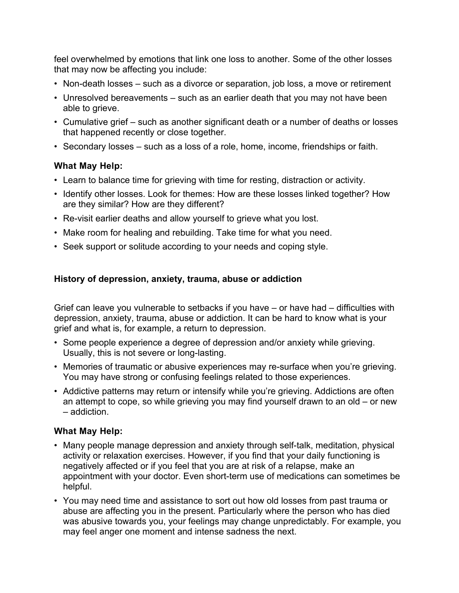feel overwhelmed by emotions that link one loss to another. Some of the other losses that may now be affecting you include:

- Non-death losses such as a divorce or separation, job loss, a move or retirement
- Unresolved bereavements such as an earlier death that you may not have been able to grieve.
- Cumulative grief such as another significant death or a number of deaths or losses that happened recently or close together.
- Secondary losses such as a loss of a role, home, income, friendships or faith.

#### **What May Help:**

- Learn to balance time for grieving with time for resting, distraction or activity.
- Identify other losses. Look for themes: How are these losses linked together? How are they similar? How are they different?
- Re-visit earlier deaths and allow yourself to grieve what you lost.
- Make room for healing and rebuilding. Take time for what you need.
- Seek support or solitude according to your needs and coping style.

#### **History of depression, anxiety, trauma, abuse or addiction**

Grief can leave you vulnerable to setbacks if you have – or have had – difficulties with depression, anxiety, trauma, abuse or addiction. It can be hard to know what is your grief and what is, for example, a return to depression.

- Some people experience a degree of depression and/or anxiety while grieving. Usually, this is not severe or long-lasting.
- Memories of traumatic or abusive experiences may re-surface when you're grieving. You may have strong or confusing feelings related to those experiences.
- Addictive patterns may return or intensify while you're grieving. Addictions are often an attempt to cope, so while grieving you may find yourself drawn to an old – or new – addiction.

#### **What May Help:**

- Many people manage depression and anxiety through self-talk, meditation, physical activity or relaxation exercises. However, if you find that your daily functioning is negatively affected or if you feel that you are at risk of a relapse, make an appointment with your doctor. Even short-term use of medications can sometimes be helpful.
- You may need time and assistance to sort out how old losses from past trauma or abuse are affecting you in the present. Particularly where the person who has died was abusive towards you, your feelings may change unpredictably. For example, you may feel anger one moment and intense sadness the next.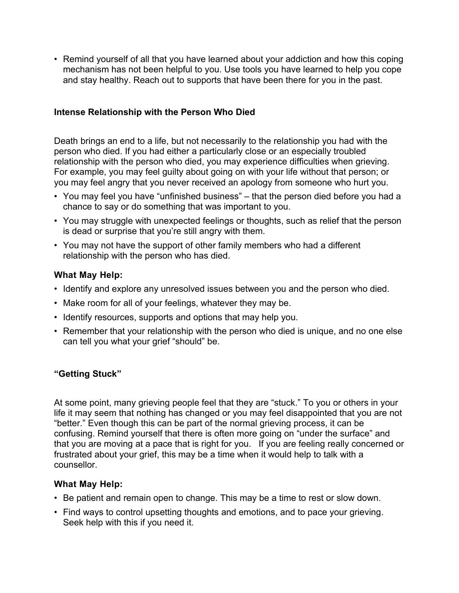• Remind yourself of all that you have learned about your addiction and how this coping mechanism has not been helpful to you. Use tools you have learned to help you cope and stay healthy. Reach out to supports that have been there for you in the past.

#### **Intense Relationship with the Person Who Died**

Death brings an end to a life, but not necessarily to the relationship you had with the person who died. If you had either a particularly close or an especially troubled relationship with the person who died, you may experience difficulties when grieving. For example, you may feel guilty about going on with your life without that person; or you may feel angry that you never received an apology from someone who hurt you.

- You may feel you have "unfinished business" that the person died before you had a chance to say or do something that was important to you.
- You may struggle with unexpected feelings or thoughts, such as relief that the person is dead or surprise that you're still angry with them.
- You may not have the support of other family members who had a different relationship with the person who has died.

#### **What May Help:**

- Identify and explore any unresolved issues between you and the person who died.
- Make room for all of your feelings, whatever they may be.
- Identify resources, supports and options that may help you.
- Remember that your relationship with the person who died is unique, and no one else can tell you what your grief "should" be.

#### **"Getting Stuck"**

At some point, many grieving people feel that they are "stuck." To you or others in your life it may seem that nothing has changed or you may feel disappointed that you are not "better." Even though this can be part of the normal grieving process, it can be confusing. Remind yourself that there is often more going on "under the surface" and that you are moving at a pace that is right for you. If you are feeling really concerned or frustrated about your grief, this may be a time when it would help to talk with a counsellor.

#### **What May Help:**

- Be patient and remain open to change. This may be a time to rest or slow down.
- Find ways to control upsetting thoughts and emotions, and to pace your grieving. Seek help with this if you need it.